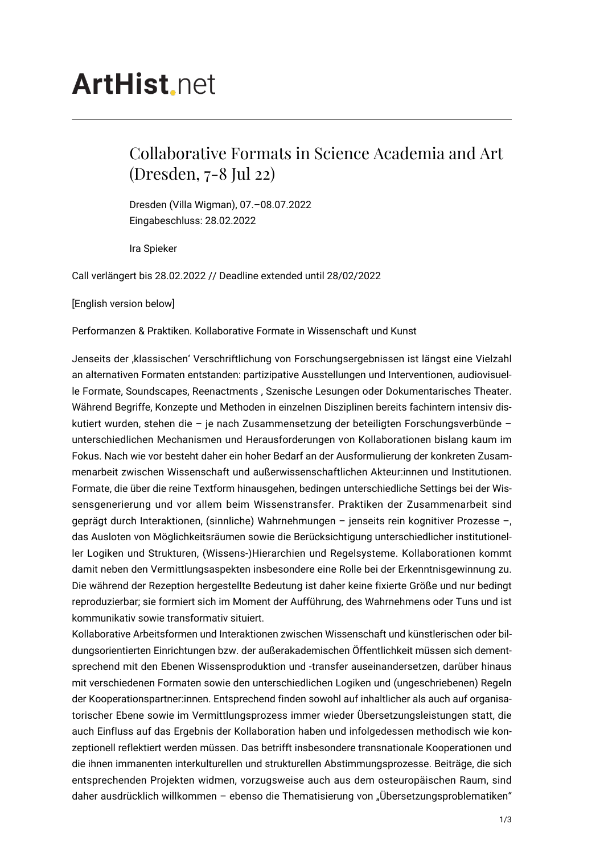## **ArtHist**, net

## Collaborative Formats in Science Academia and Art (Dresden, 7-8 Jul 22)

Dresden (Villa Wigman), 07.–08.07.2022 Eingabeschluss: 28.02.2022

Ira Spieker

Call verlängert bis 28.02.2022 // Deadline extended until 28/02/2022

[English version below]

Performanzen & Praktiken. Kollaborative Formate in Wissenschaft und Kunst

Jenseits der ,klassischen' Verschriftlichung von Forschungsergebnissen ist längst eine Vielzahl an alternativen Formaten entstanden: partizipative Ausstellungen und Interventionen, audiovisuelle Formate, Soundscapes, Reenactments , Szenische Lesungen oder Dokumentarisches Theater. Während Begriffe, Konzepte und Methoden in einzelnen Disziplinen bereits fachintern intensiv diskutiert wurden, stehen die – je nach Zusammensetzung der beteiligten Forschungsverbünde – unterschiedlichen Mechanismen und Herausforderungen von Kollaborationen bislang kaum im Fokus. Nach wie vor besteht daher ein hoher Bedarf an der Ausformulierung der konkreten Zusammenarbeit zwischen Wissenschaft und außerwissenschaftlichen Akteur:innen und Institutionen. Formate, die über die reine Textform hinausgehen, bedingen unterschiedliche Settings bei der Wissensgenerierung und vor allem beim Wissenstransfer. Praktiken der Zusammenarbeit sind geprägt durch Interaktionen, (sinnliche) Wahrnehmungen – jenseits rein kognitiver Prozesse –, das Ausloten von Möglichkeitsräumen sowie die Berücksichtigung unterschiedlicher institutioneller Logiken und Strukturen, (Wissens-)Hierarchien und Regelsysteme. Kollaborationen kommt damit neben den Vermittlungsaspekten insbesondere eine Rolle bei der Erkenntnisgewinnung zu. Die während der Rezeption hergestellte Bedeutung ist daher keine fixierte Größe und nur bedingt reproduzierbar; sie formiert sich im Moment der Aufführung, des Wahrnehmens oder Tuns und ist kommunikativ sowie transformativ situiert.

Kollaborative Arbeitsformen und Interaktionen zwischen Wissenschaft und künstlerischen oder bildungsorientierten Einrichtungen bzw. der außerakademischen Öffentlichkeit müssen sich dementsprechend mit den Ebenen Wissensproduktion und -transfer auseinandersetzen, darüber hinaus mit verschiedenen Formaten sowie den unterschiedlichen Logiken und (ungeschriebenen) Regeln der Kooperationspartner:innen. Entsprechend finden sowohl auf inhaltlicher als auch auf organisatorischer Ebene sowie im Vermittlungsprozess immer wieder Übersetzungsleistungen statt, die auch Einfluss auf das Ergebnis der Kollaboration haben und infolgedessen methodisch wie konzeptionell reflektiert werden müssen. Das betrifft insbesondere transnationale Kooperationen und die ihnen immanenten interkulturellen und strukturellen Abstimmungsprozesse. Beiträge, die sich entsprechenden Projekten widmen, vorzugsweise auch aus dem osteuropäischen Raum, sind daher ausdrücklich willkommen - ebenso die Thematisierung von "Übersetzungsproblematiken"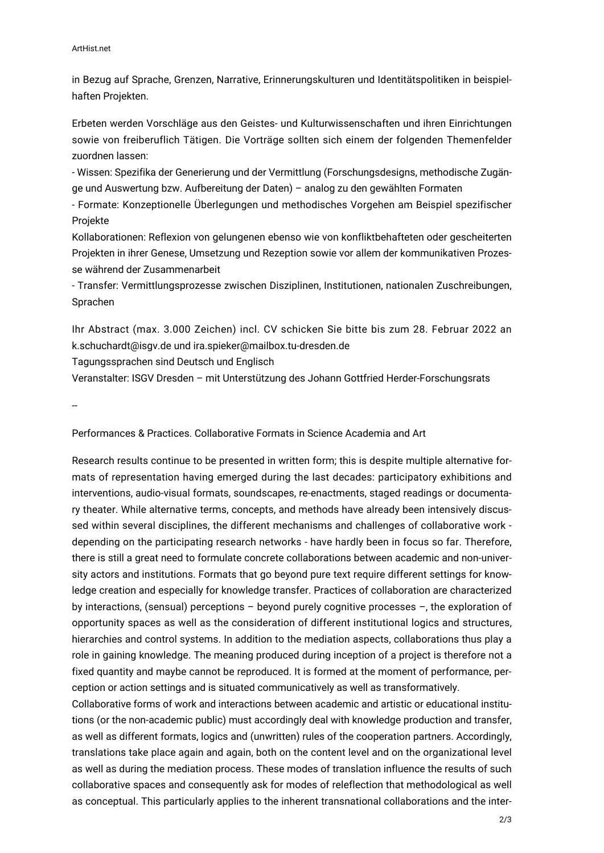## ArtHist.net

in Bezug auf Sprache, Grenzen, Narrative, Erinnerungskulturen und Identitätspolitiken in beispielhaften Projekten.

Erbeten werden Vorschläge aus den Geistes- und Kulturwissenschaften und ihren Einrichtungen sowie von freiberuflich Tätigen. Die Vorträge sollten sich einem der folgenden Themenfelder zuordnen lassen:

- Wissen: Spezifika der Generierung und der Vermittlung (Forschungsdesigns, methodische Zugänge und Auswertung bzw. Aufbereitung der Daten) – analog zu den gewählten Formaten

- Formate: Konzeptionelle Überlegungen und methodisches Vorgehen am Beispiel spezifischer Projekte

Kollaborationen: Reflexion von gelungenen ebenso wie von konfliktbehafteten oder gescheiterten Projekten in ihrer Genese, Umsetzung und Rezeption sowie vor allem der kommunikativen Prozesse während der Zusammenarbeit

- Transfer: Vermittlungsprozesse zwischen Disziplinen, Institutionen, nationalen Zuschreibungen, Sprachen

Ihr Abstract (max. 3.000 Zeichen) incl. CV schicken Sie bitte bis zum 28. Februar 2022 an k.schuchardt@isgv.de und ira.spieker@mailbox.tu-dresden.de

Tagungssprachen sind Deutsch und Englisch

Veranstalter: ISGV Dresden – mit Unterstützung des Johann Gottfried Herder-Forschungsrats

--

Performances & Practices. Collaborative Formats in Science Academia and Art

Research results continue to be presented in written form; this is despite multiple alternative formats of representation having emerged during the last decades: participatory exhibitions and interventions, audio-visual formats, soundscapes, re-enactments, staged readings or documentary theater. While alternative terms, concepts, and methods have already been intensively discussed within several disciplines, the different mechanisms and challenges of collaborative work depending on the participating research networks - have hardly been in focus so far. Therefore, there is still a great need to formulate concrete collaborations between academic and non-university actors and institutions. Formats that go beyond pure text require different settings for knowledge creation and especially for knowledge transfer. Practices of collaboration are characterized by interactions, (sensual) perceptions – beyond purely cognitive processes –, the exploration of opportunity spaces as well as the consideration of different institutional logics and structures, hierarchies and control systems. In addition to the mediation aspects, collaborations thus play a role in gaining knowledge. The meaning produced during inception of a project is therefore not a fixed quantity and maybe cannot be reproduced. It is formed at the moment of performance, perception or action settings and is situated communicatively as well as transformatively.

Collaborative forms of work and interactions between academic and artistic or educational institutions (or the non-academic public) must accordingly deal with knowledge production and transfer, as well as different formats, logics and (unwritten) rules of the cooperation partners. Accordingly, translations take place again and again, both on the content level and on the organizational level as well as during the mediation process. These modes of translation influence the results of such collaborative spaces and consequently ask for modes of releflection that methodological as well as conceptual. This particularly applies to the inherent transnational collaborations and the inter